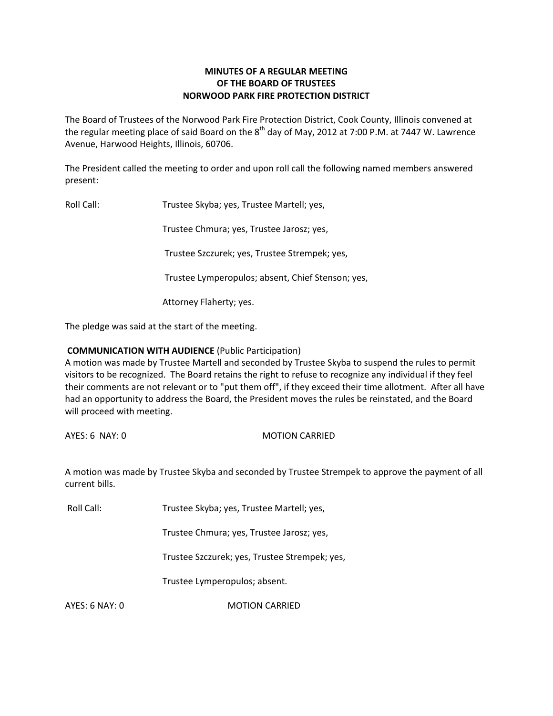# **MINUTES OF A REGULAR MEETING OF THE BOARD OF TRUSTEES NORWOOD PARK FIRE PROTECTION DISTRICT**

The Board of Trustees of the Norwood Park Fire Protection District, Cook County, Illinois convened at the regular meeting place of said Board on the 8<sup>th</sup> day of May, 2012 at 7:00 P.M. at 7447 W. Lawrence Avenue, Harwood Heights, Illinois, 60706.

The President called the meeting to order and upon roll call the following named members answered present:

Roll Call: Trustee Skyba; yes, Trustee Martell; yes,

Trustee Chmura; yes, Trustee Jarosz; yes,

Trustee Szczurek; yes, Trustee Strempek; yes,

Trustee Lymperopulos; absent, Chief Stenson; yes,

Attorney Flaherty; yes.

The pledge was said at the start of the meeting.

# **COMMUNICATION WITH AUDIENCE** (Public Participation)

A motion was made by Trustee Martell and seconded by Trustee Skyba to suspend the rules to permit visitors to be recognized. The Board retains the right to refuse to recognize any individual if they feel their comments are not relevant or to "put them off", if they exceed their time allotment. After all have had an opportunity to address the Board, the President moves the rules be reinstated, and the Board will proceed with meeting.

AYES: 6 NAY: 0 MOTION CARRIED

A motion was made by Trustee Skyba and seconded by Trustee Strempek to approve the payment of all current bills.

Roll Call: Trustee Skyba; yes, Trustee Martell; yes,

Trustee Chmura; yes, Trustee Jarosz; yes,

Trustee Szczurek; yes, Trustee Strempek; yes,

Trustee Lymperopulos; absent.

AYES: 6 NAY: 0 MOTION CARRIED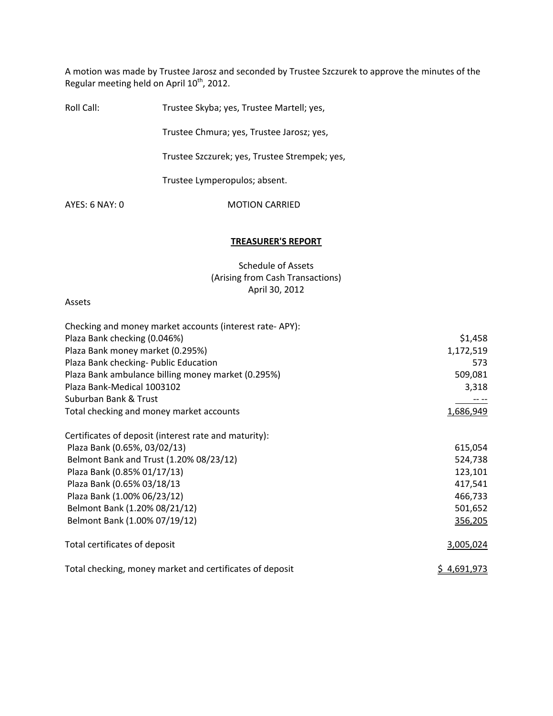A motion was made by Trustee Jarosz and seconded by Trustee Szczurek to approve the minutes of the Regular meeting held on April  $10^{th}$ , 2012.

| Roll Call:     | Trustee Skyba; yes, Trustee Martell; yes,     |
|----------------|-----------------------------------------------|
|                | Trustee Chmura; yes, Trustee Jarosz; yes,     |
|                | Trustee Szczurek; yes, Trustee Strempek; yes, |
|                | Trustee Lymperopulos; absent.                 |
| AYES: 6 NAY: 0 | <b>MOTION CARRIED</b>                         |
|                |                                               |

#### **TREASURER'S REPORT**

Schedule of Assets (Arising from Cash Transactions) April 30, 2012

## Assets

| Checking and money market accounts (interest rate-APY):  |                    |
|----------------------------------------------------------|--------------------|
| Plaza Bank checking (0.046%)                             | \$1,458            |
| Plaza Bank money market (0.295%)                         | 1,172,519          |
| Plaza Bank checking- Public Education                    | 573                |
| Plaza Bank ambulance billing money market (0.295%)       | 509,081            |
| Plaza Bank-Medical 1003102                               | 3,318              |
| Suburban Bank & Trust                                    |                    |
| Total checking and money market accounts                 | 1,686,949          |
| Certificates of deposit (interest rate and maturity):    |                    |
| Plaza Bank (0.65%, 03/02/13)                             | 615,054            |
| Belmont Bank and Trust (1.20% 08/23/12)                  | 524,738            |
| Plaza Bank (0.85% 01/17/13)                              | 123,101            |
| Plaza Bank (0.65% 03/18/13                               | 417,541            |
| Plaza Bank (1.00% 06/23/12)                              | 466,733            |
| Belmont Bank (1.20% 08/21/12)                            | 501,652            |
| Belmont Bank (1.00% 07/19/12)                            | 356,205            |
| Total certificates of deposit                            | 3,005,024          |
| Total checking, money market and certificates of deposit | <u>\$4,691,973</u> |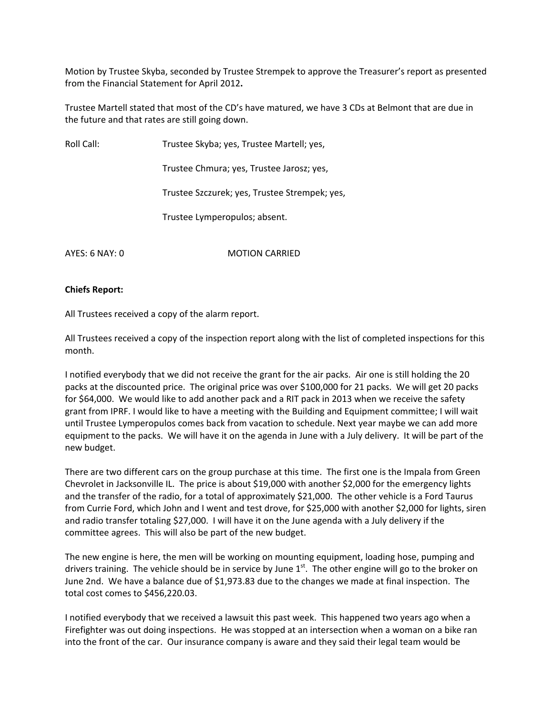Motion by Trustee Skyba, seconded by Trustee Strempek to approve the Treasurer's report as presented from the Financial Statement for April 2012**.**

Trustee Martell stated that most of the CD's have matured, we have 3 CDs at Belmont that are due in the future and that rates are still going down.

Roll Call: Trustee Skyba; yes, Trustee Martell; yes,

Trustee Chmura; yes, Trustee Jarosz; yes,

Trustee Szczurek; yes, Trustee Strempek; yes,

Trustee Lymperopulos; absent.

AYES: 6 NAY: 0 MOTION CARRIED

## **Chiefs Report:**

All Trustees received a copy of the alarm report.

All Trustees received a copy of the inspection report along with the list of completed inspections for this month.

I notified everybody that we did not receive the grant for the air packs. Air one is still holding the 20 packs at the discounted price. The original price was over \$100,000 for 21 packs. We will get 20 packs for \$64,000. We would like to add another pack and a RIT pack in 2013 when we receive the safety grant from IPRF. I would like to have a meeting with the Building and Equipment committee; I will wait until Trustee Lymperopulos comes back from vacation to schedule. Next year maybe we can add more equipment to the packs. We will have it on the agenda in June with a July delivery. It will be part of the new budget.

There are two different cars on the group purchase at this time. The first one is the Impala from Green Chevrolet in Jacksonville IL. The price is about \$19,000 with another \$2,000 for the emergency lights and the transfer of the radio, for a total of approximately \$21,000. The other vehicle is a Ford Taurus from Currie Ford, which John and I went and test drove, for \$25,000 with another \$2,000 for lights, siren and radio transfer totaling \$27,000. I will have it on the June agenda with a July delivery if the committee agrees. This will also be part of the new budget.

The new engine is here, the men will be working on mounting equipment, loading hose, pumping and drivers training. The vehicle should be in service by June 1<sup>st</sup>. The other engine will go to the broker on June 2nd. We have a balance due of \$1,973.83 due to the changes we made at final inspection. The total cost comes to \$456,220.03.

I notified everybody that we received a lawsuit this past week. This happened two years ago when a Firefighter was out doing inspections. He was stopped at an intersection when a woman on a bike ran into the front of the car. Our insurance company is aware and they said their legal team would be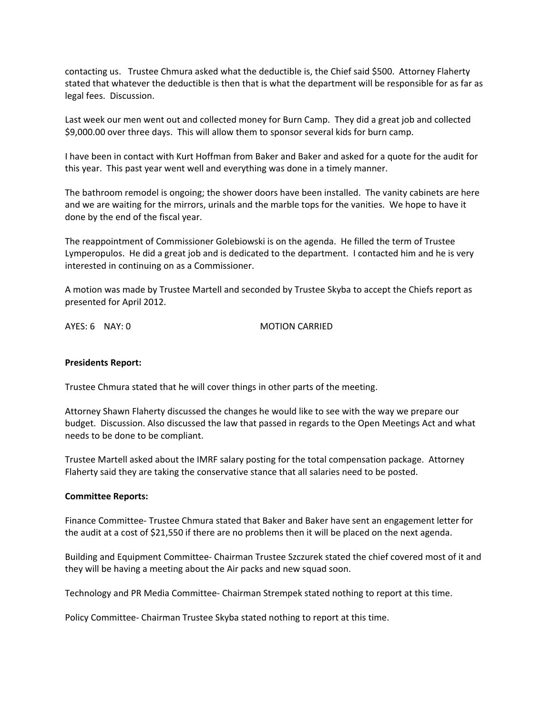contacting us. Trustee Chmura asked what the deductible is, the Chief said \$500. Attorney Flaherty stated that whatever the deductible is then that is what the department will be responsible for as far as legal fees. Discussion.

Last week our men went out and collected money for Burn Camp. They did a great job and collected \$9,000.00 over three days. This will allow them to sponsor several kids for burn camp.

I have been in contact with Kurt Hoffman from Baker and Baker and asked for a quote for the audit for this year. This past year went well and everything was done in a timely manner.

The bathroom remodel is ongoing; the shower doors have been installed. The vanity cabinets are here and we are waiting for the mirrors, urinals and the marble tops for the vanities. We hope to have it done by the end of the fiscal year.

The reappointment of Commissioner Golebiowski is on the agenda. He filled the term of Trustee Lymperopulos. He did a great job and is dedicated to the department. I contacted him and he is very interested in continuing on as a Commissioner.

A motion was made by Trustee Martell and seconded by Trustee Skyba to accept the Chiefs report as presented for April 2012.

AYES: 6 NAY: 0 MOTION CARRIED

#### **Presidents Report:**

Trustee Chmura stated that he will cover things in other parts of the meeting.

Attorney Shawn Flaherty discussed the changes he would like to see with the way we prepare our budget. Discussion. Also discussed the law that passed in regards to the Open Meetings Act and what needs to be done to be compliant.

Trustee Martell asked about the IMRF salary posting for the total compensation package. Attorney Flaherty said they are taking the conservative stance that all salaries need to be posted.

#### **Committee Reports:**

Finance Committee‐ Trustee Chmura stated that Baker and Baker have sent an engagement letter for the audit at a cost of \$21,550 if there are no problems then it will be placed on the next agenda.

Building and Equipment Committee‐ Chairman Trustee Szczurek stated the chief covered most of it and they will be having a meeting about the Air packs and new squad soon.

Technology and PR Media Committee‐ Chairman Strempek stated nothing to report at this time.

Policy Committee‐ Chairman Trustee Skyba stated nothing to report at this time.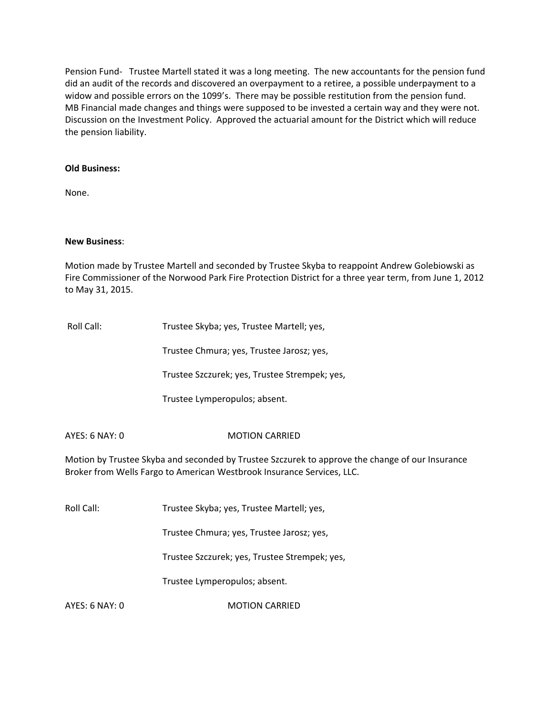Pension Fund- Trustee Martell stated it was a long meeting. The new accountants for the pension fund did an audit of the records and discovered an overpayment to a retiree, a possible underpayment to a widow and possible errors on the 1099's. There may be possible restitution from the pension fund. MB Financial made changes and things were supposed to be invested a certain way and they were not. Discussion on the Investment Policy. Approved the actuarial amount for the District which will reduce the pension liability.

## **Old Business:**

None.

## **New Business**:

Motion made by Trustee Martell and seconded by Trustee Skyba to reappoint Andrew Golebiowski as Fire Commissioner of the Norwood Park Fire Protection District for a three year term, from June 1, 2012 to May 31, 2015.

Roll Call: Trustee Skyba; yes, Trustee Martell; yes,

Trustee Chmura; yes, Trustee Jarosz; yes,

Trustee Szczurek; yes, Trustee Strempek; yes,

Trustee Lymperopulos; absent.

AYES: 6 NAY: 0 MOTION CARRIED

Motion by Trustee Skyba and seconded by Trustee Szczurek to approve the change of our Insurance Broker from Wells Fargo to American Westbrook Insurance Services, LLC.

Roll Call: Trustee Skyba; yes, Trustee Martell; yes,

Trustee Chmura; yes, Trustee Jarosz; yes,

Trustee Szczurek; yes, Trustee Strempek; yes,

Trustee Lymperopulos; absent.

AYES: 6 NAY: 0 MOTION CARRIED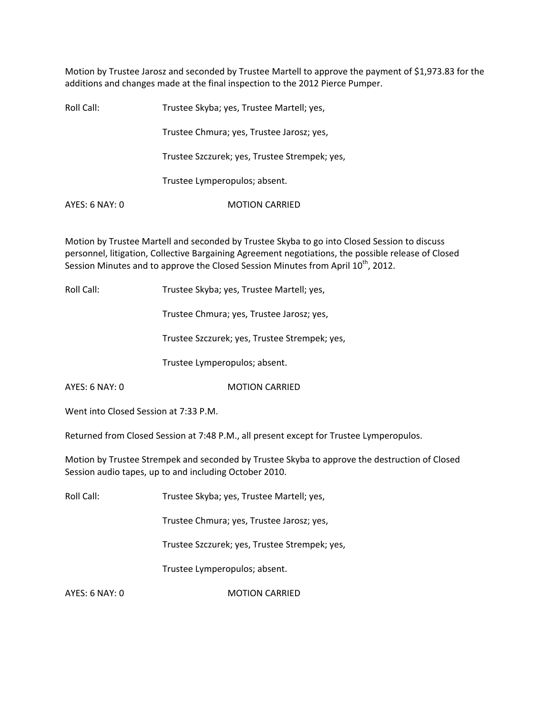Motion by Trustee Jarosz and seconded by Trustee Martell to approve the payment of \$1,973.83 for the additions and changes made at the final inspection to the 2012 Pierce Pumper.

| Roll Call:     | Trustee Skyba; yes, Trustee Martell; yes,     |
|----------------|-----------------------------------------------|
|                | Trustee Chmura; yes, Trustee Jarosz; yes,     |
|                | Trustee Szczurek; yes, Trustee Strempek; yes, |
|                | Trustee Lymperopulos; absent.                 |
| AYES: 6 NAY: 0 | <b>MOTION CARRIED</b>                         |

Motion by Trustee Martell and seconded by Trustee Skyba to go into Closed Session to discuss personnel, litigation, Collective Bargaining Agreement negotiations, the possible release of Closed Session Minutes and to approve the Closed Session Minutes from April  $10^{\text{th}}$ , 2012.

Roll Call: Trustee Skyba; yes, Trustee Martell; yes,

Trustee Chmura; yes, Trustee Jarosz; yes,

Trustee Szczurek; yes, Trustee Strempek; yes,

Trustee Lymperopulos; absent.

AYES: 6 NAY: 0 MOTION CARRIED

Went into Closed Session at 7:33 P.M.

Returned from Closed Session at 7:48 P.M., all present except for Trustee Lymperopulos.

Motion by Trustee Strempek and seconded by Trustee Skyba to approve the destruction of Closed Session audio tapes, up to and including October 2010.

Roll Call: Trustee Skyba; yes, Trustee Martell; yes,

Trustee Chmura; yes, Trustee Jarosz; yes,

Trustee Szczurek; yes, Trustee Strempek; yes,

Trustee Lymperopulos; absent.

AYES: 6 NAY: 0 MOTION CARRIED